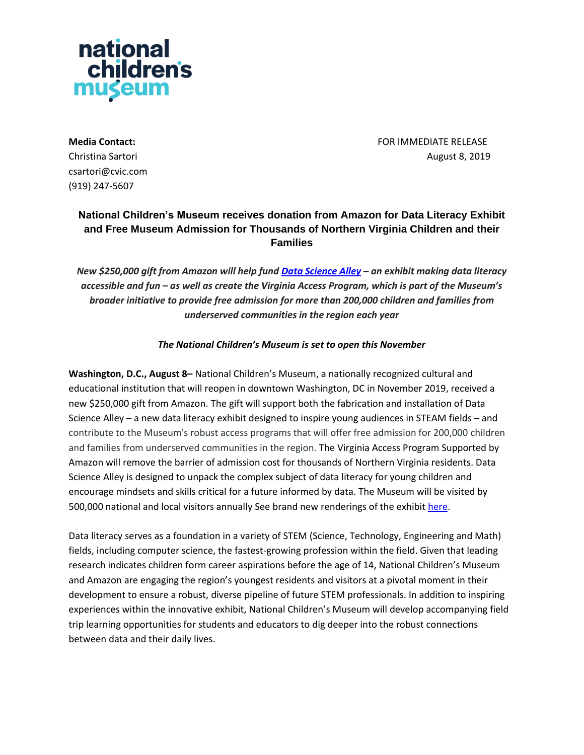

csartori@cvic.com (919) 247-5607

**Media Contact:** FOR IMMEDIATE RELEASE Christina Sartori August 8, 2019

## **National Children's Museum receives donation from Amazon for Data Literacy Exhibit and Free Museum Admission for Thousands of Northern Virginia Children and their Families**

*New \$250,000 gift from Amazon will help fund [Data Science Alley](https://blog.aboutamazon.com/community/bringing-steam-education-to-more-families) – an exhibit making data literacy accessible and fun – as well as create the Virginia Access Program, which is part of the Museum's broader initiative to provide free admission for more than 200,000 children and families from underserved communities in the region each year* 

## *The National Children's Museum is set to open this November*

**Washington, D.C., August 8–** National Children's Museum, a nationally recognized cultural and educational institution that will reopen in downtown Washington, DC in November 2019, received a new \$250,000 gift from Amazon. The gift will support both the fabrication and installation of Data Science Alley – a new data literacy exhibit designed to inspire young audiences in STEAM fields – and contribute to the Museum's robust access programs that will offer free admission for 200,000 children and families from underserved communities in the region. The Virginia Access Program Supported by Amazon will remove the barrier of admission cost for thousands of Northern Virginia residents. Data Science Alley is designed to unpack the complex subject of data literacy for young children and encourage mindsets and skills critical for a future informed by data. The Museum will be visited by 500,000 national and local visitors annually See brand new renderings of the exhibi[t here.](https://blog.aboutamazon.com/community/bringing-steam-education-to-more-families)

Data literacy serves as a foundation in a variety of STEM (Science, Technology, Engineering and Math) fields, including computer science, the fastest-growing profession within the field. Given that leading research indicates children form career aspirations before the age of 14, National Children's Museum and Amazon are engaging the region's youngest residents and visitors at a pivotal moment in their development to ensure a robust, diverse pipeline of future STEM professionals. In addition to inspiring experiences within the innovative exhibit, National Children's Museum will develop accompanying field trip learning opportunities for students and educators to dig deeper into the robust connections between data and their daily lives.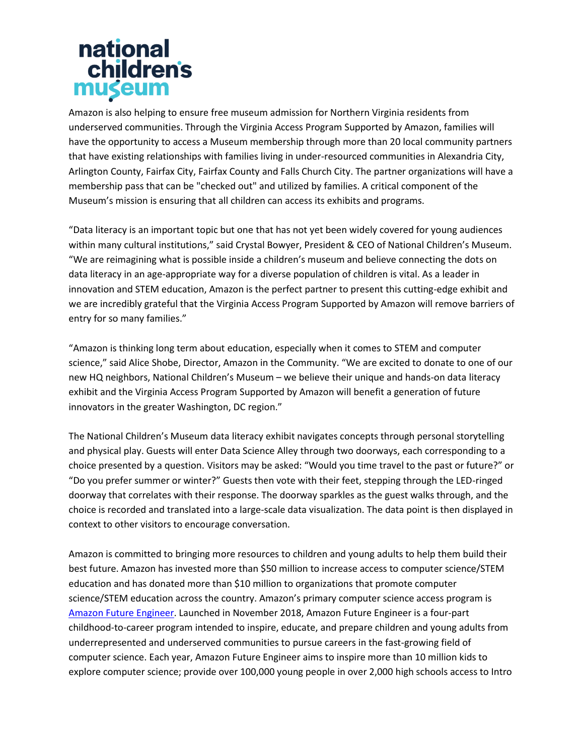

Amazon is also helping to ensure free museum admission for Northern Virginia residents from underserved communities. Through the Virginia Access Program Supported by Amazon, families will have the opportunity to access a Museum membership through more than 20 local community partners that have existing relationships with families living in under-resourced communities in Alexandria City, Arlington County, Fairfax City, Fairfax County and Falls Church City. The partner organizations will have a membership pass that can be "checked out" and utilized by families. A critical component of the Museum's mission is ensuring that all children can access its exhibits and programs.

"Data literacy is an important topic but one that has not yet been widely covered for young audiences within many cultural institutions," said Crystal Bowyer, President & CEO of National Children's Museum. "We are reimagining what is possible inside a children's museum and believe connecting the dots on data literacy in an age-appropriate way for a diverse population of children is vital. As a leader in innovation and STEM education, Amazon is the perfect partner to present this cutting-edge exhibit and we are incredibly grateful that the Virginia Access Program Supported by Amazon will remove barriers of entry for so many families."

"Amazon is thinking long term about education, especially when it comes to STEM and computer science," said Alice Shobe, Director, Amazon in the Community. "We are excited to donate to one of our new HQ neighbors, National Children's Museum – we believe their unique and hands-on data literacy exhibit and the Virginia Access Program Supported by Amazon will benefit a generation of future innovators in the greater Washington, DC region."

The National Children's Museum data literacy exhibit navigates concepts through personal storytelling and physical play. Guests will enter Data Science Alley through two doorways, each corresponding to a choice presented by a question. Visitors may be asked: "Would you time travel to the past or future?" or "Do you prefer summer or winter?" Guests then vote with their feet, stepping through the LED-ringed doorway that correlates with their response. The doorway sparkles as the guest walks through, and the choice is recorded and translated into a large-scale data visualization. The data point is then displayed in context to other visitors to encourage conversation.

Amazon is committed to bringing more resources to children and young adults to help them build their best future. Amazon has invested more than \$50 million to increase access to computer science/STEM education and has donated more than \$10 million to organizations that promote computer science/STEM education across the country. Amazon's primary computer science access program is [Amazon Future Engineer.](https://www.amazonfutureengineer.com/) Launched in November 2018, Amazon Future Engineer is a four-part childhood-to-career program intended to inspire, educate, and prepare children and young adults from underrepresented and underserved communities to pursue careers in the fast-growing field of computer science. Each year, Amazon Future Engineer aims to inspire more than 10 million kids to explore computer science; provide over 100,000 young people in over 2,000 high schools access to Intro